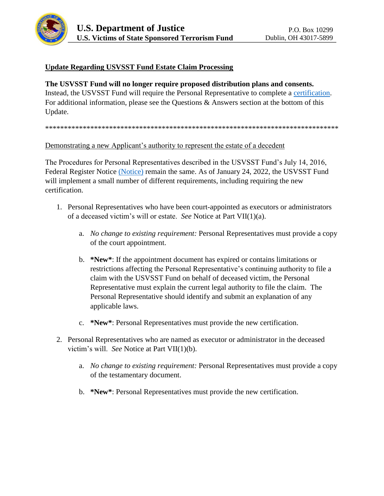

# **Update Regarding USVSST Fund Estate Claim Processing**

#### **The USVSST Fund will no longer require proposed distribution plans and consents.**

Instead, the USVSST Fund will require the Personal Representative to complete a [certification.](http://www.usvsst.com/docs/Certification_of_Personal_Representative.pdf) For additional information, please see the Questions & Answers section at the bottom of this Update.

#### \*\*\*\*\*\*\*\*\*\*\*\*\*\*\*\*\*\*\*\*\*\*\*\*\*\*\*\*\*\*\*\*\*\*\*\*\*\*\*\*\*\*\*\*\*\*\*\*\*\*\*\*\*\*\*\*\*\*\*\*\*\*\*\*\*\*\*\*\*\*\*\*\*\*\*\*\*\*

#### Demonstrating a new Applicant's authority to represent the estate of a decedent

The Procedures for Personal Representatives described in the USVSST Fund's July 14, 2016, Federal Register Notice [\(Notice\)](http://www.usvsst.com/docs/Notice.pdf) remain the same. As of January 24, 2022, the USVSST Fund will implement a small number of different requirements, including requiring the new certification.

- 1. Personal Representatives who have been court-appointed as executors or administrators of a deceased victim's will or estate. *See* Notice at Part VII(1)(a).
	- a. *No change to existing requirement:* Personal Representatives must provide a copy of the court appointment.
	- b. **\*New\***: If the appointment document has expired or contains limitations or restrictions affecting the Personal Representative's continuing authority to file a claim with the USVSST Fund on behalf of deceased victim, the Personal Representative must explain the current legal authority to file the claim. The Personal Representative should identify and submit an explanation of any applicable laws.
	- c. **\*New\***: Personal Representatives must provide the new certification.
- 2. Personal Representatives who are named as executor or administrator in the deceased victim's will. *See* Notice at Part VII(1)(b).
	- a. *No change to existing requirement:* Personal Representatives must provide a copy of the testamentary document.
	- b. **\*New\***: Personal Representatives must provide the new certification.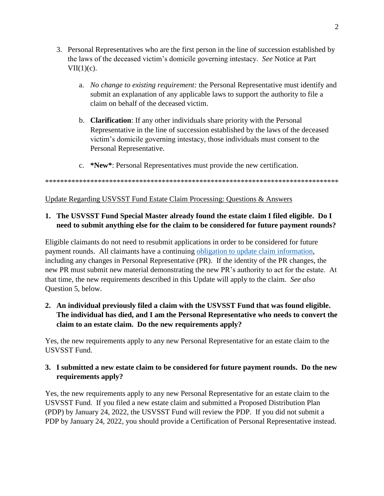- 3. Personal Representatives who are the first person in the line of succession established by the laws of the deceased victim's domicile governing intestacy. *See* Notice at Part  $VII(1)(c)$ .
	- a. *No change to existing requirement:* the Personal Representative must identify and submit an explanation of any applicable laws to support the authority to file a claim on behalf of the deceased victim.
	- b. **Clarification**: If any other individuals share priority with the Personal Representative in the line of succession established by the laws of the deceased victim's domicile governing intestacy, those individuals must consent to the Personal Representative.
	- c. **\*New\***: Personal Representatives must provide the new certification.

#### \*\*\*\*\*\*\*\*\*\*\*\*\*\*\*\*\*\*\*\*\*\*\*\*\*\*\*\*\*\*\*\*\*\*\*\*\*\*\*\*\*\*\*\*\*\*\*\*\*\*\*\*\*\*\*\*\*\*\*\*\*\*\*\*\*\*\*\*\*\*\*\*\*\*\*\*\*\*

#### Update Regarding USVSST Fund Estate Claim Processing: Questions & Answers

# **1. The USVSST Fund Special Master already found the estate claim I filed eligible. Do I need to submit anything else for the claim to be considered for future payment rounds?**

Eligible claimants do not need to resubmit applications in order to be considered for future payment rounds. All claimants have a continuing [obligation to update claim information,](http://www.usvsst.com/docs/Notice_to_Update_Jan_2022.pdf) including any changes in Personal Representative (PR). If the identity of the PR changes, the new PR must submit new material demonstrating the new PR's authority to act for the estate. At that time, the new requirements described in this Update will apply to the claim. *See also* Question 5, below.

# **2. An individual previously filed a claim with the USVSST Fund that was found eligible. The individual has died, and I am the Personal Representative who needs to convert the claim to an estate claim. Do the new requirements apply?**

Yes, the new requirements apply to any new Personal Representative for an estate claim to the USVSST Fund.

# **3. I submitted a new estate claim to be considered for future payment rounds. Do the new requirements apply?**

Yes, the new requirements apply to any new Personal Representative for an estate claim to the USVSST Fund. If you filed a new estate claim and submitted a Proposed Distribution Plan (PDP) by January 24, 2022, the USVSST Fund will review the PDP. If you did not submit a PDP by January 24, 2022, you should provide a Certification of Personal Representative instead.